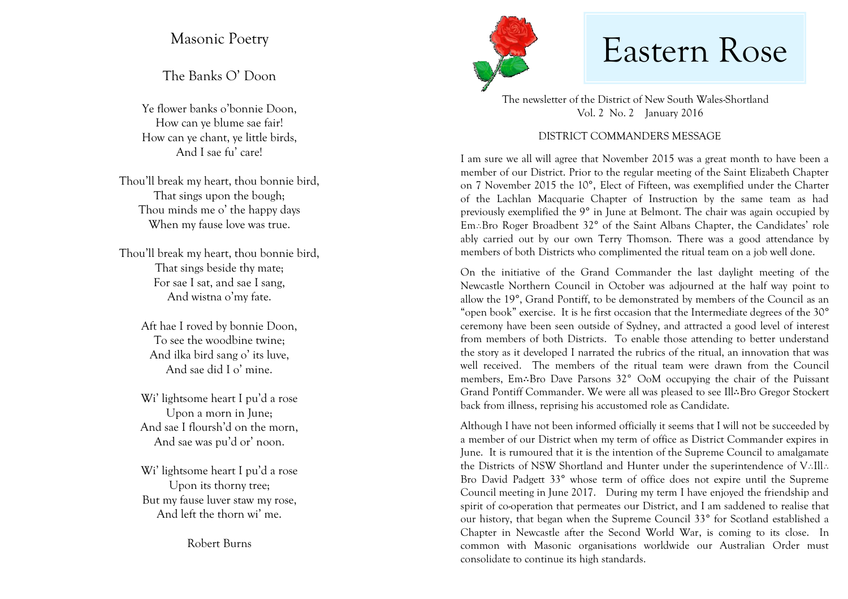The Banks O' Doon

Ye flower banks o'bonnie Doon, How can ye blume sae fair! How can ye chant, ye little birds, And I sae fu' care!

Thou'll break my heart, thou bonnie bird, That sings upon the bough; Thou minds me o' the happy days When my fause love was true.

Thou'll break my heart, thou bonnie bird, That sings beside thy mate; For sae I sat, and sae I sang, And wistna o'my fate.

> Aft hae I roved by bonnie Doon, To see the woodbine twine; And ilka bird sang o' its luve, And sae did I o' mine.

Wi' lightsome heart I pu'd a rose Upon a morn in June; And sae I floursh'd on the morn, And sae was pu'd or' noon.

Wi' lightsome heart I pu'd a rose Upon its thorny tree; But my fause luver staw my rose, And left the thorn wi' me.

Robert Burns



## Masonic Poetry Masonic Poetry Masonic Poetry

 The newsletter of the District of New South Wales-Shortland Vol. 2 No. 2 January 2016

## DISTRICT COMMANDERS MESSAGE

I am sure we all will agree that November 2015 was a great month to have been a member of our District. Prior to the regular meeting of the Saint Elizabeth Chapter on 7 November 2015 the 10°, Elect of Fifteen, was exemplified under the Charter of the Lachlan Macquarie Chapter of Instruction by the same team as had previously exemplified the 9° in June at Belmont. The chair was again occupied by Em: Bro Roger Broadbent 32° of the Saint Albans Chapter, the Candidates' role ably carried out by our own Terry Thomson. There was a good attendance by members of both Districts who complimented the ritual team on a job well done.

On the initiative of the Grand Commander the last daylight meeting of the Newcastle Northern Council in October was adjourned at the half way point to allow the 19°, Grand Pontiff, to be demonstrated by members of the Council as an "open book" exercise. It is he first occasion that the Intermediate degrees of the 30° ceremony have been seen outside of Sydney, and attracted a good level of interest from members of both Districts. To enable those attending to better understand the story as it developed I narrated the rubrics of the ritual, an innovation that was well received. The members of the ritual team were drawn from the Council members, Em∴Bro Dave Parsons 32° OoM occupying the chair of the Puissant Grand Pontiff Commander. We were all was pleased to see Ill∴Bro Gregor Stockert back from illness, reprising his accustomed role as Candidate.

Although I have not been informed officially it seems that I will not be succeeded by a member of our District when my term of office as District Commander expires in June. It is rumoured that it is the intention of the Supreme Council to amalgamate the Districts of NSW Shortland and Hunter under the superintendence of  $V$ ..Ill.. Bro David Padgett 33° whose term of office does not expire until the Supreme Council meeting in June 2017. During my term I have enjoyed the friendship and spirit of co-operation that permeates our District, and I am saddened to realise that our history, that began when the Supreme Council 33° for Scotland established a Chapter in Newcastle after the Second World War, is coming to its close. In common with Masonic organisations worldwide our Australian Order must consolidate to continue its high standards.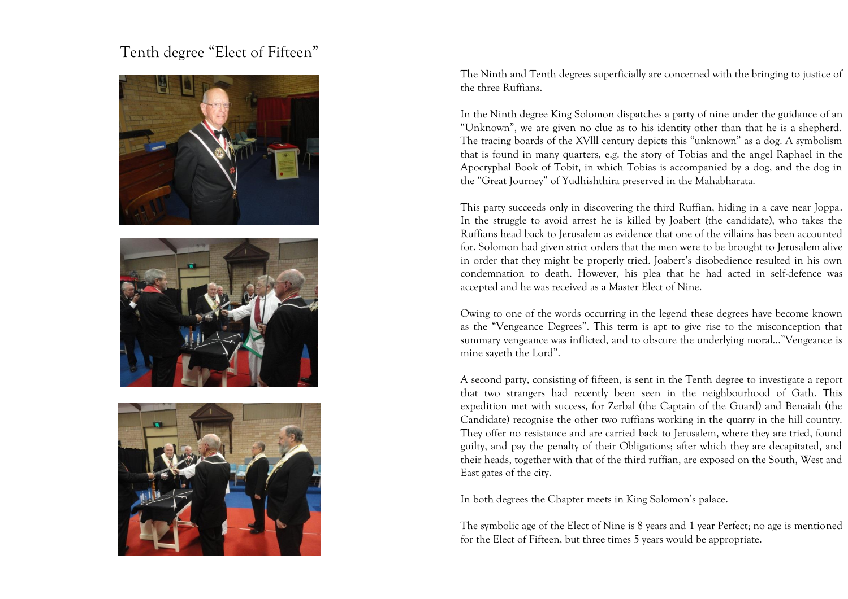## Tenth degree "Elect of Fifteen"







The Ninth and Tenth degrees superficially are concerned with the bringing to justice of the three Ruffians.

In the Ninth degree King Solomon dispatches a party of nine under the guidance of an "Unknown", we are given no clue as to his identity other than that he is a shepherd. The tracing boards of the XVlll century depicts this "unknown" as a dog. A symbolism that is found in many quarters, e.g. the story of Tobias and the angel Raphael in the Apocryphal Book of Tobit, in which Tobias is accompanied by a dog, and the dog in the "Great Journey" of Yudhishthira preserved in the Mahabharata.

This party succeeds only in discovering the third Ruffian, hiding in a cave near Joppa. In the struggle to avoid arrest he is killed by Joabert (the candidate), who takes the Ruffians head back to Jerusalem as evidence that one of the villains has been accounted for. Solomon had given strict orders that the men were to be brought to Jerusalem alive in order that they might be properly tried. Joabert's disobedience resulted in his own condemnation to death. However, his plea that he had acted in self-defence was accepted and he was received as a Master Elect of Nine.

Owing to one of the words occurring in the legend these degrees have become known as the "Vengeance Degrees". This term is apt to give rise to the misconception that summary vengeance was inflicted, and to obscure the underlying moral…"Vengeance is mine sayeth the Lord".

A second party, consisting of fifteen, is sent in the Tenth degree to investigate a report that two strangers had recently been seen in the neighbourhood of Gath. This expedition met with success, for Zerbal (the Captain of the Guard) and Benaiah (the Candidate) recognise the other two ruffians working in the quarry in the hill country. They offer no resistance and are carried back to Jerusalem, where they are tried, found guilty, and pay the penalty of their Obligations; after which they are decapitated, and their heads, together with that of the third ruffian, are exposed on the South, West and East gates of the city.

In both degrees the Chapter meets in King Solomon's palace.

The symbolic age of the Elect of Nine is 8 years and 1 year Perfect; no age is mentioned for the Elect of Fifteen, but three times 5 years would be appropriate.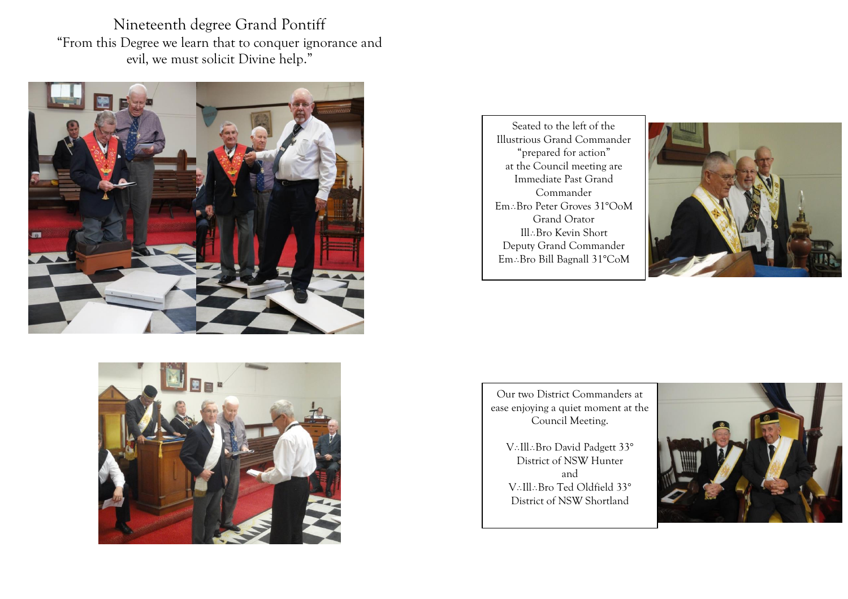Nineteenth degree Grand Pontiff "From this Degree we learn that to conquer ignorance and evil, we must solicit Divine help."





 Seated to the left of the Illustrious Grand Commander "prepared for action" at the Council meeting are Immediate Past Grand Commander Em∴Bro Peter Groves 31°OoM Grand Orator Ill: Bro Kevin Short Deputy Grand Commander Em∴Bro Bill Bagnall 31°CoM



Our two District Commanders at ease enjoying a quiet moment at the Council Meeting.

V: Ill: Bro David Padgett 33° District of NSW Hunter and V.Ill.Bro Ted Oldfield 33° District of NSW Shortland